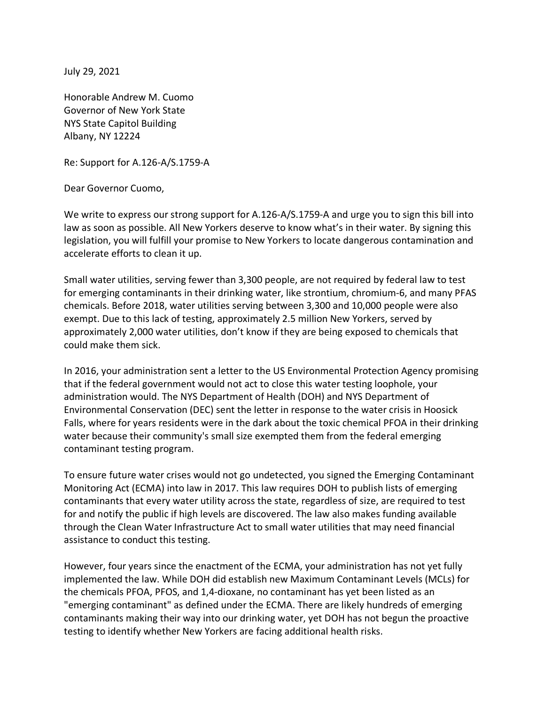July 29, 2021

Honorable Andrew M. Cuomo Governor of New York State NYS State Capitol Building Albany, NY 12224

Re: Support for A.126-A/S.1759-A

Dear Governor Cuomo,

We write to express our strong support for A.126-A/S.1759-A and urge you to sign this bill into law as soon as possible. All New Yorkers deserve to know what's in their water. By signing this legislation, you will fulfill your promise to New Yorkers to locate dangerous contamination and accelerate efforts to clean it up.

Small water utilities, serving fewer than 3,300 people, are not required by federal law to test for emerging contaminants in their drinking water, like strontium, chromium-6, and many PFAS chemicals. Before 2018, water utilities serving between 3,300 and 10,000 people were also exempt. Due to this lack of testing, approximately 2.5 million New Yorkers, served by approximately 2,000 water utilities, don't know if they are being exposed to chemicals that could make them sick.

In 2016, your administration sent a letter to the US Environmental Protection Agency promising that if the federal government would not act to close this water testing loophole, your administration would. The NYS Department of Health (DOH) and NYS Department of Environmental Conservation (DEC) sent the letter in response to the water crisis in Hoosick Falls, where for years residents were in the dark about the toxic chemical PFOA in their drinking water because their community's small size exempted them from the federal emerging contaminant testing program.

To ensure future water crises would not go undetected, you signed the Emerging Contaminant Monitoring Act (ECMA) into law in 2017. This law requires DOH to publish lists of emerging contaminants that every water utility across the state, regardless of size, are required to test for and notify the public if high levels are discovered. The law also makes funding available through the Clean Water Infrastructure Act to small water utilities that may need financial assistance to conduct this testing.

However, four years since the enactment of the ECMA, your administration has not yet fully implemented the law. While DOH did establish new Maximum Contaminant Levels (MCLs) for the chemicals PFOA, PFOS, and 1,4-dioxane, no contaminant has yet been listed as an "emerging contaminant" as defined under the ECMA. There are likely hundreds of emerging contaminants making their way into our drinking water, yet DOH has not begun the proactive testing to identify whether New Yorkers are facing additional health risks.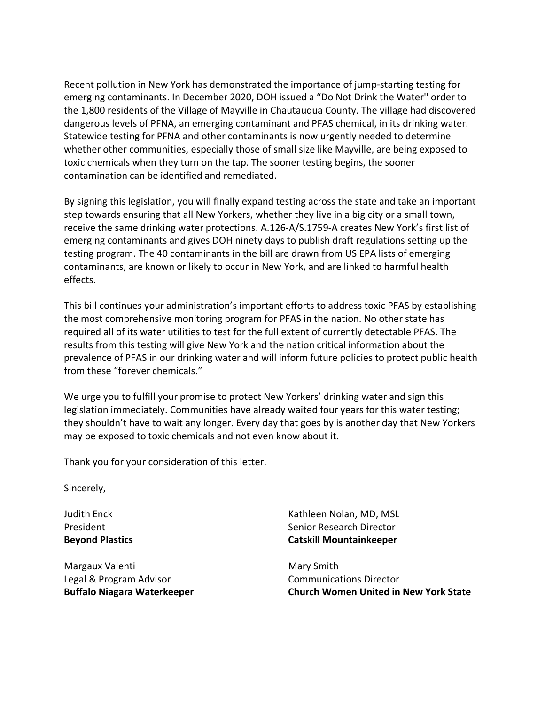Recent pollution in New York has demonstrated the importance of jump-starting testing for emerging contaminants. In December 2020, DOH issued a "Do Not Drink the Water'' order to the 1,800 residents of the Village of Mayville in Chautauqua County. The village had discovered dangerous levels of PFNA, an emerging contaminant and PFAS chemical, in its drinking water. Statewide testing for PFNA and other contaminants is now urgently needed to determine whether other communities, especially those of small size like Mayville, are being exposed to toxic chemicals when they turn on the tap. The sooner testing begins, the sooner contamination can be identified and remediated.

By signing this legislation, you will finally expand testing across the state and take an important step towards ensuring that all New Yorkers, whether they live in a big city or a small town, receive the same drinking water protections. A.126-A/S.1759-A creates New York's first list of emerging contaminants and gives DOH ninety days to publish draft regulations setting up the testing program. The 40 contaminants in the bill are drawn from US EPA lists of emerging contaminants, are known or likely to occur in New York, and are linked to harmful health effects.

This bill continues your administration's important efforts to address toxic PFAS by establishing the most comprehensive monitoring program for PFAS in the nation. No other state has required all of its water utilities to test for the full extent of currently detectable PFAS. The results from this testing will give New York and the nation critical information about the prevalence of PFAS in our drinking water and will inform future policies to protect public health from these "forever chemicals."

We urge you to fulfill your promise to protect New Yorkers' drinking water and sign this legislation immediately. Communities have already waited four years for this water testing; they shouldn't have to wait any longer. Every day that goes by is another day that New Yorkers may be exposed to toxic chemicals and not even know about it.

Thank you for your consideration of this letter.

Sincerely,

Judith Enck President **Beyond Plastics**

Margaux Valenti Legal & Program Advisor **Buffalo Niagara Waterkeeper**

Kathleen Nolan, MD, MSL Senior Research Director **Catskill Mountainkeeper**

Mary Smith Communications Director **Church Women United in New York State**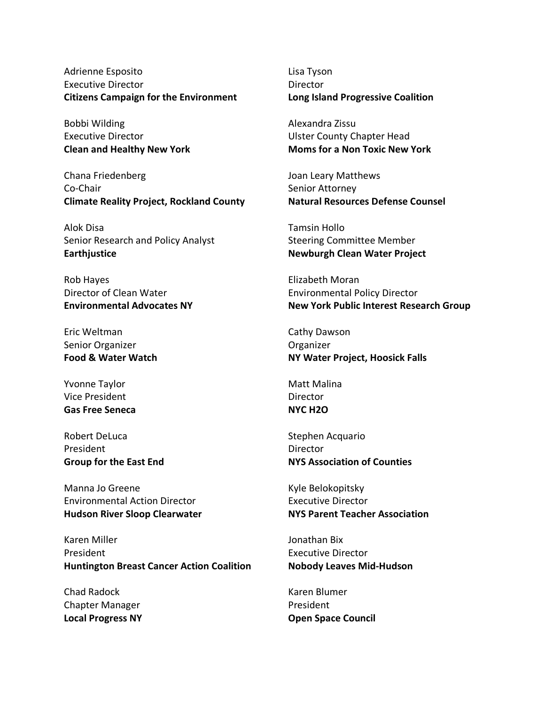Adrienne Esposito Executive Director **Citizens Campaign for the Environment**

Bobbi Wilding Executive Director **Clean and Healthy New York**

Chana Friedenberg Co-Chair **Climate Reality Project, Rockland County**

Alok Disa Senior Research and Policy Analyst **Earthjustice**

Rob Hayes Director of Clean Water **Environmental Advocates NY**

Eric Weltman Senior Organizer **Food & Water Watch**

Yvonne Taylor Vice President **Gas Free Seneca**

Robert DeLuca President **Group for the East End** 

Manna Jo Greene Environmental Action Director **Hudson River Sloop Clearwater**

Karen Miller President **Huntington Breast Cancer Action Coalition**

Chad Radock Chapter Manager **Local Progress NY**

Lisa Tyson **Director Long Island Progressive Coalition**

Alexandra Zissu Ulster County Chapter Head **Moms for a Non Toxic New York**

Joan Leary Matthews Senior Attorney **Natural Resources Defense Counsel**

Tamsin Hollo Steering Committee Member **Newburgh Clean Water Project**

Elizabeth Moran Environmental Policy Director **New York Public Interest Research Group**

Cathy Dawson Organizer **NY Water Project, Hoosick Falls**

Matt Malina **Director NYC H2O**

Stephen Acquario **Director NYS Association of Counties**

Kyle Belokopitsky Executive Director **NYS Parent Teacher Association**

Jonathan Bix Executive Director **Nobody Leaves Mid-Hudson**

Karen Blumer President **Open Space Council**